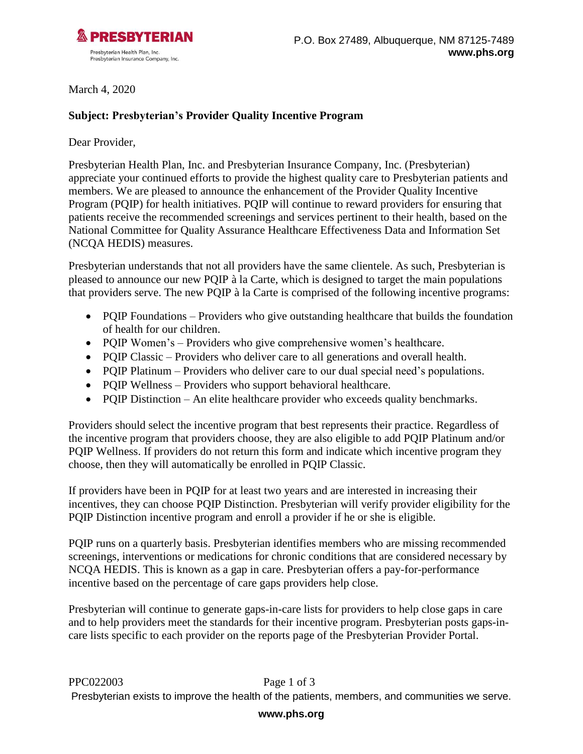

March 4, 2020

## **Subject: Presbyterian's Provider Quality Incentive Program**

Dear Provider,

Presbyterian Health Plan, Inc. and Presbyterian Insurance Company, Inc. (Presbyterian) appreciate your continued efforts to provide the highest quality care to Presbyterian patients and members. We are pleased to announce the enhancement of the Provider Quality Incentive Program (PQIP) for health initiatives. PQIP will continue to reward providers for ensuring that patients receive the recommended screenings and services pertinent to their health, based on the National Committee for Quality Assurance Healthcare Effectiveness Data and Information Set (NCQA HEDIS) measures.

Presbyterian understands that not all providers have the same clientele. As such, Presbyterian is pleased to announce our new PQIP à la Carte, which is designed to target the main populations that providers serve. The new PQIP à la Carte is comprised of the following incentive programs:

- PQIP Foundations Providers who give outstanding healthcare that builds the foundation of health for our children.
- PQIP Women's Providers who give comprehensive women's healthcare.
- PQIP Classic Providers who deliver care to all generations and overall health.
- PQIP Platinum Providers who deliver care to our dual special need's populations.
- PQIP Wellness Providers who support behavioral healthcare.
- PQIP Distinction An elite healthcare provider who exceeds quality benchmarks.

Providers should select the incentive program that best represents their practice. Regardless of the incentive program that providers choose, they are also eligible to add PQIP Platinum and/or PQIP Wellness. If providers do not return this form and indicate which incentive program they choose, then they will automatically be enrolled in PQIP Classic.

If providers have been in PQIP for at least two years and are interested in increasing their incentives, they can choose PQIP Distinction. Presbyterian will verify provider eligibility for the PQIP Distinction incentive program and enroll a provider if he or she is eligible.

PQIP runs on a quarterly basis. Presbyterian identifies members who are missing recommended screenings, interventions or medications for chronic conditions that are considered necessary by NCQA HEDIS. This is known as a gap in care. Presbyterian offers a pay-for-performance incentive based on the percentage of care gaps providers help close.

Presbyterian will continue to generate gaps-in-care lists for providers to help close gaps in care and to help providers meet the standards for their incentive program. Presbyterian posts gaps-incare lists specific to each provider on the reports page of the Presbyterian Provider Portal.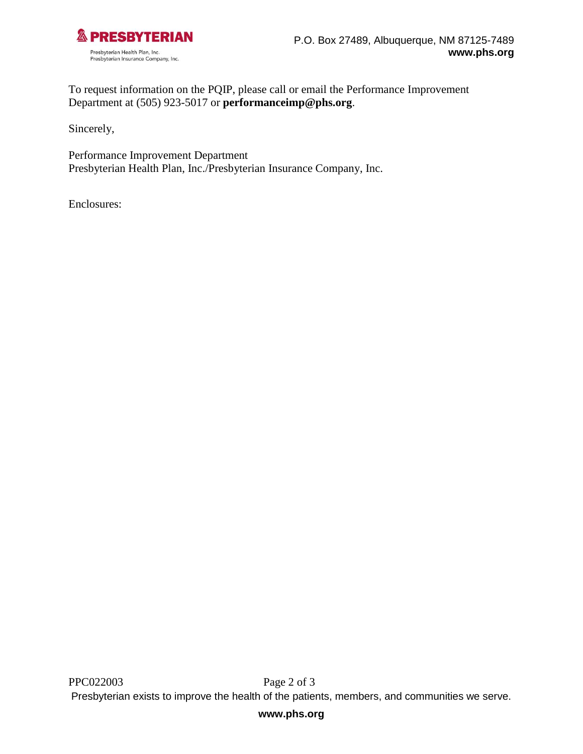

To request information on the PQIP, please call or email the Performance Improvement Department at (505) 923-5017 or **[performanceimp@phs.org](mailto:performanceimp@phs.org)**.

Sincerely,

Performance Improvement Department Presbyterian Health Plan, Inc./Presbyterian Insurance Company, Inc.

Enclosures: